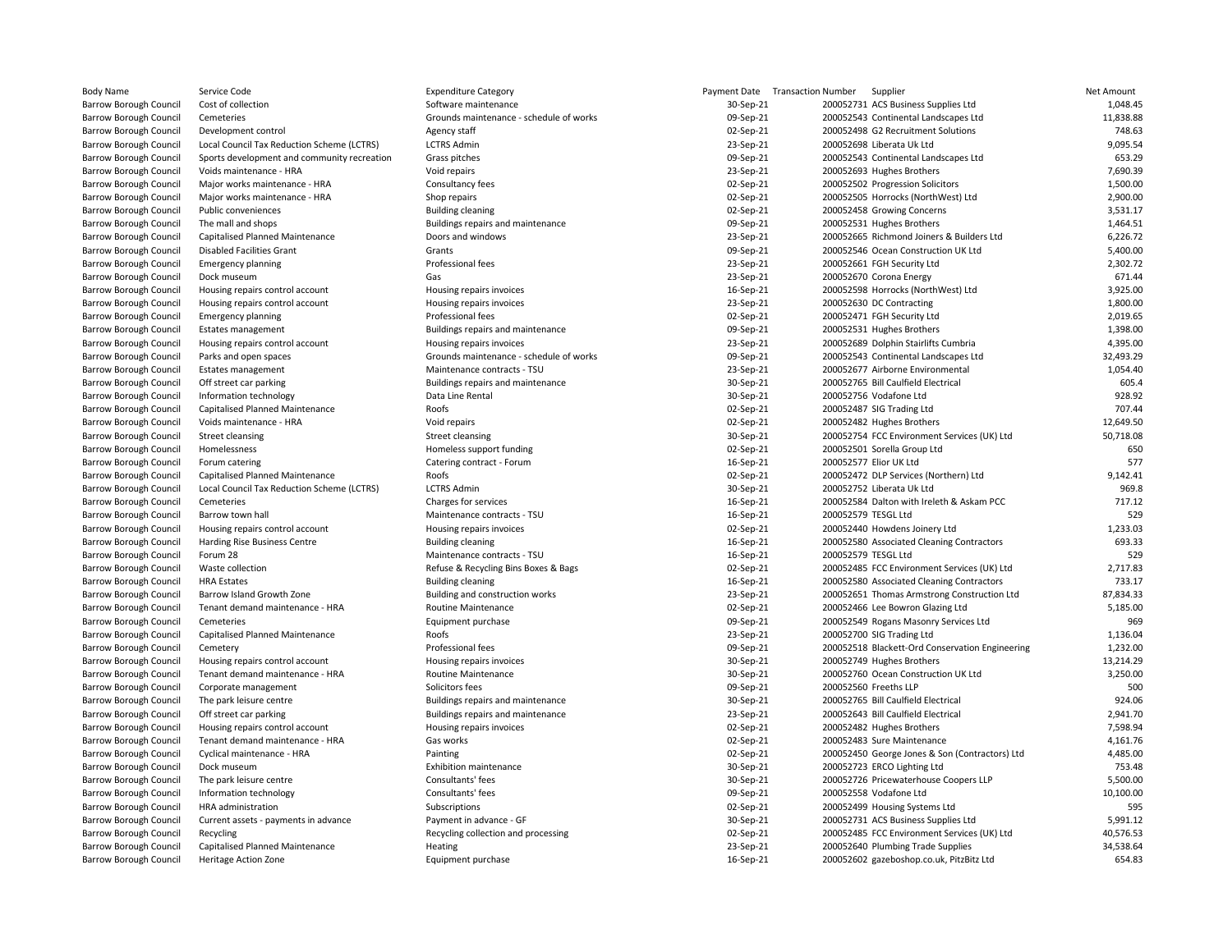| <b>Body Name</b>              | Service Code                                | <b>Expenditure Category</b>             |           | Payment Date Transaction Number Supplier |                                                 | Net Amount |
|-------------------------------|---------------------------------------------|-----------------------------------------|-----------|------------------------------------------|-------------------------------------------------|------------|
| Barrow Borough Council        | Cost of collection                          | Software maintenance                    | 30-Sep-21 |                                          | 200052731 ACS Business Supplies Ltd             | 1,048.45   |
| <b>Barrow Borough Council</b> | Cemeteries                                  | Grounds maintenance - schedule of works | 09-Sep-21 |                                          | 200052543 Continental Landscapes Ltd            | 11,838.88  |
| Barrow Borough Council        | Development control                         | Agency staff                            | 02-Sep-21 |                                          | 200052498 G2 Recruitment Solutions              | 748.63     |
| Barrow Borough Council        | Local Council Tax Reduction Scheme (LCTRS)  | <b>LCTRS Admin</b>                      | 23-Sep-21 |                                          | 200052698 Liberata Uk Ltd                       | 9,095.54   |
| Barrow Borough Council        | Sports development and community recreation | Grass pitches                           | 09-Sep-21 |                                          | 200052543 Continental Landscapes Ltd            | 653.29     |
| Barrow Borough Council        | Voids maintenance - HRA                     | Void repairs                            | 23-Sep-21 |                                          | 200052693 Hughes Brothers                       | 7,690.39   |
| <b>Barrow Borough Council</b> | Major works maintenance - HRA               | Consultancy fees                        | 02-Sep-21 |                                          | 200052502 Progression Solicitors                | 1,500.00   |
| Barrow Borough Council        | Major works maintenance - HRA               | Shop repairs                            | 02-Sep-21 |                                          | 200052505 Horrocks (NorthWest) Ltd              | 2,900.00   |
|                               |                                             |                                         |           |                                          |                                                 | 3,531.17   |
| Barrow Borough Council        | Public conveniences                         | <b>Building cleaning</b>                | 02-Sep-21 |                                          | 200052458 Growing Concerns                      |            |
| <b>Barrow Borough Council</b> | The mall and shops                          | Buildings repairs and maintenance       | 09-Sep-21 |                                          | 200052531 Hughes Brothers                       | 1,464.51   |
| Barrow Borough Council        | Capitalised Planned Maintenance             | Doors and windows                       | 23-Sep-21 |                                          | 200052665 Richmond Joiners & Builders Ltd       | 6,226.72   |
| Barrow Borough Council        | <b>Disabled Facilities Grant</b>            | Grants                                  | 09-Sep-21 |                                          | 200052546 Ocean Construction UK Ltd             | 5,400.00   |
| Barrow Borough Council        | <b>Emergency planning</b>                   | Professional fees                       | 23-Sep-21 |                                          | 200052661 FGH Security Ltd                      | 2,302.72   |
| Barrow Borough Council        | Dock museum                                 | Gas                                     | 23-Sep-21 |                                          | 200052670 Corona Energy                         | 671.44     |
| Barrow Borough Council        | Housing repairs control account             | Housing repairs invoices                | 16-Sep-21 |                                          | 200052598 Horrocks (NorthWest) Ltd              | 3,925.00   |
| Barrow Borough Council        | Housing repairs control account             | Housing repairs invoices                | 23-Sep-21 |                                          | 200052630 DC Contracting                        | 1,800.00   |
| Barrow Borough Council        | <b>Emergency planning</b>                   | Professional fees                       | 02-Sep-21 |                                          | 200052471 FGH Security Ltd                      | 2,019.65   |
| Barrow Borough Council        | <b>Estates management</b>                   | Buildings repairs and maintenance       | 09-Sep-21 |                                          | 200052531 Hughes Brothers                       | 1,398.00   |
| Barrow Borough Council        | Housing repairs control account             | Housing repairs invoices                | 23-Sep-21 |                                          | 200052689 Dolphin Stairlifts Cumbria            | 4,395.00   |
| <b>Barrow Borough Council</b> | Parks and open spaces                       | Grounds maintenance - schedule of works | 09-Sep-21 |                                          | 200052543 Continental Landscapes Ltd            | 32,493.29  |
| Barrow Borough Council        | <b>Estates management</b>                   | Maintenance contracts - TSU             | 23-Sep-21 |                                          | 200052677 Airborne Environmental                | 1,054.40   |
| Barrow Borough Council        | Off street car parking                      | Buildings repairs and maintenance       | 30-Sep-21 |                                          | 200052765 Bill Caulfield Electrical             | 605.4      |
| Barrow Borough Council        | Information technology                      | Data Line Rental                        | 30-Sep-21 |                                          | 200052756 Vodafone Ltd                          | 928.92     |
| Barrow Borough Council        | Capitalised Planned Maintenance             | Roofs                                   |           |                                          | 200052487 SIG Trading Ltd                       | 707.44     |
|                               |                                             |                                         | 02-Sep-21 |                                          |                                                 |            |
| Barrow Borough Council        | Voids maintenance - HRA                     | Void repairs                            | 02-Sep-21 |                                          | 200052482 Hughes Brothers                       | 12,649.50  |
| Barrow Borough Council        | Street cleansing                            | <b>Street cleansing</b>                 | 30-Sep-21 |                                          | 200052754 FCC Environment Services (UK) Ltd     | 50,718.08  |
| Barrow Borough Council        | Homelessness                                | Homeless support funding                | 02-Sep-21 |                                          | 200052501 Sorella Group Ltd                     | 650        |
| Barrow Borough Council        | Forum catering                              | Catering contract - Forum               | 16-Sep-21 |                                          | 200052577 Elior UK Ltd                          | 577        |
| Barrow Borough Council        | Capitalised Planned Maintenance             | Roofs                                   | 02-Sep-21 |                                          | 200052472 DLP Services (Northern) Ltd           | 9,142.41   |
| Barrow Borough Council        | Local Council Tax Reduction Scheme (LCTRS)  | <b>LCTRS Admin</b>                      | 30-Sep-21 |                                          | 200052752 Liberata Uk Ltd                       | 969.8      |
| Barrow Borough Council        | Cemeteries                                  | Charges for services                    | 16-Sep-21 |                                          | 200052584 Dalton with Ireleth & Askam PCC       | 717.12     |
| <b>Barrow Borough Council</b> | Barrow town hall                            | Maintenance contracts - TSU             | 16-Sep-21 | 200052579 TESGL Ltd                      |                                                 | 529        |
| Barrow Borough Council        | Housing repairs control account             | Housing repairs invoices                | 02-Sep-21 |                                          | 200052440 Howdens Joinery Ltd                   | 1,233.03   |
| Barrow Borough Council        | Harding Rise Business Centre                | <b>Building cleaning</b>                | 16-Sep-21 |                                          | 200052580 Associated Cleaning Contractors       | 693.33     |
| Barrow Borough Council        | Forum 28                                    | Maintenance contracts - TSU             | 16-Sep-21 | 200052579 TESGL Ltd                      |                                                 | 529        |
| Barrow Borough Council        | Waste collection                            | Refuse & Recycling Bins Boxes & Bags    | 02-Sep-21 |                                          | 200052485 FCC Environment Services (UK) Ltd     | 2,717.83   |
| Barrow Borough Council        | <b>HRA Estates</b>                          | <b>Building cleaning</b>                | 16-Sep-21 |                                          | 200052580 Associated Cleaning Contractors       | 733.17     |
| Barrow Borough Council        | Barrow Island Growth Zone                   | Building and construction works         | 23-Sep-21 |                                          | 200052651 Thomas Armstrong Construction Ltd     | 87,834.33  |
| Barrow Borough Council        | Tenant demand maintenance - HRA             | <b>Routine Maintenance</b>              | 02-Sep-21 |                                          | 200052466 Lee Bowron Glazing Ltd                | 5,185.00   |
| Barrow Borough Council        | Cemeteries                                  | Equipment purchase                      | 09-Sep-21 |                                          | 200052549 Rogans Masonry Services Ltd           | 969        |
|                               | Capitalised Planned Maintenance             | Roofs                                   |           |                                          | 200052700 SIG Trading Ltd                       | 1,136.04   |
| Barrow Borough Council        |                                             |                                         | 23-Sep-21 |                                          |                                                 |            |
| Barrow Borough Council        | Cemetery                                    | Professional fees                       | 09-Sep-21 |                                          | 200052518 Blackett-Ord Conservation Engineering | 1,232.00   |
| Barrow Borough Council        | Housing repairs control account             | Housing repairs invoices                | 30-Sep-21 |                                          | 200052749 Hughes Brothers                       | 13,214.29  |
| <b>Barrow Borough Council</b> | Tenant demand maintenance - HRA             | Routine Maintenance                     | 30-Sep-21 |                                          | 200052760 Ocean Construction UK Ltd             | 3,250.00   |
| Barrow Borough Council        | Corporate management                        | Solicitors fees                         | 09-Sep-21 |                                          | 200052560 Freeths LLP                           | 500        |
| Barrow Borough Council        | The park leisure centre                     | Buildings repairs and maintenance       | 30-Sep-21 |                                          | 200052765 Bill Caulfield Electrical             | 924.06     |
| <b>Barrow Borough Council</b> | Off street car parking                      | Buildings repairs and maintenance       | 23-Sep-21 |                                          | 200052643 Bill Caulfield Electrical             | 2,941.70   |
| Barrow Borough Council        | Housing repairs control account             | Housing repairs invoices                | 02-Sep-21 |                                          | 200052482 Hughes Brothers                       | 7,598.94   |
| Barrow Borough Council        | Tenant demand maintenance - HRA             | Gas works                               | 02-Sep-21 |                                          | 200052483 Sure Maintenance                      | 4,161.76   |
| Barrow Borough Council        | Cyclical maintenance - HRA                  | Painting                                | 02-Sep-21 |                                          | 200052450 George Jones & Son (Contractors) Ltd  | 4,485.00   |
| Barrow Borough Council        | Dock museum                                 | <b>Exhibition maintenance</b>           | 30-Sep-21 |                                          | 200052723 ERCO Lighting Ltd                     | 753.48     |
| <b>Barrow Borough Council</b> | The park leisure centre                     | Consultants' fees                       | 30-Sep-21 |                                          | 200052726 Pricewaterhouse Coopers LLP           | 5,500.00   |
| Barrow Borough Council        | Information technology                      | Consultants' fees                       | 09-Sep-21 |                                          | 200052558 Vodafone Ltd                          | 10,100.00  |
| Barrow Borough Council        | HRA administration                          | Subscriptions                           | 02-Sep-21 |                                          | 200052499 Housing Systems Ltd                   | 595        |
| Barrow Borough Council        | Current assets - payments in advance        | Payment in advance - GF                 | 30-Sep-21 |                                          | 200052731 ACS Business Supplies Ltd             | 5,991.12   |
| Barrow Borough Council        |                                             | Recycling collection and processing     | 02-Sep-21 |                                          | 200052485 FCC Environment Services (UK) Ltd     | 40,576.53  |
|                               | Recycling                                   |                                         |           |                                          |                                                 | 34,538.64  |
| <b>Barrow Borough Council</b> | Capitalised Planned Maintenance             | Heating                                 | 23-Sep-21 |                                          | 200052640 Plumbing Trade Supplies               |            |
| Barrow Borough Council        | <b>Heritage Action Zone</b>                 | Equipment purchase                      | 16-Sep-21 |                                          | 200052602 gazeboshop.co.uk, PitzBitz Ltd        | 654.83     |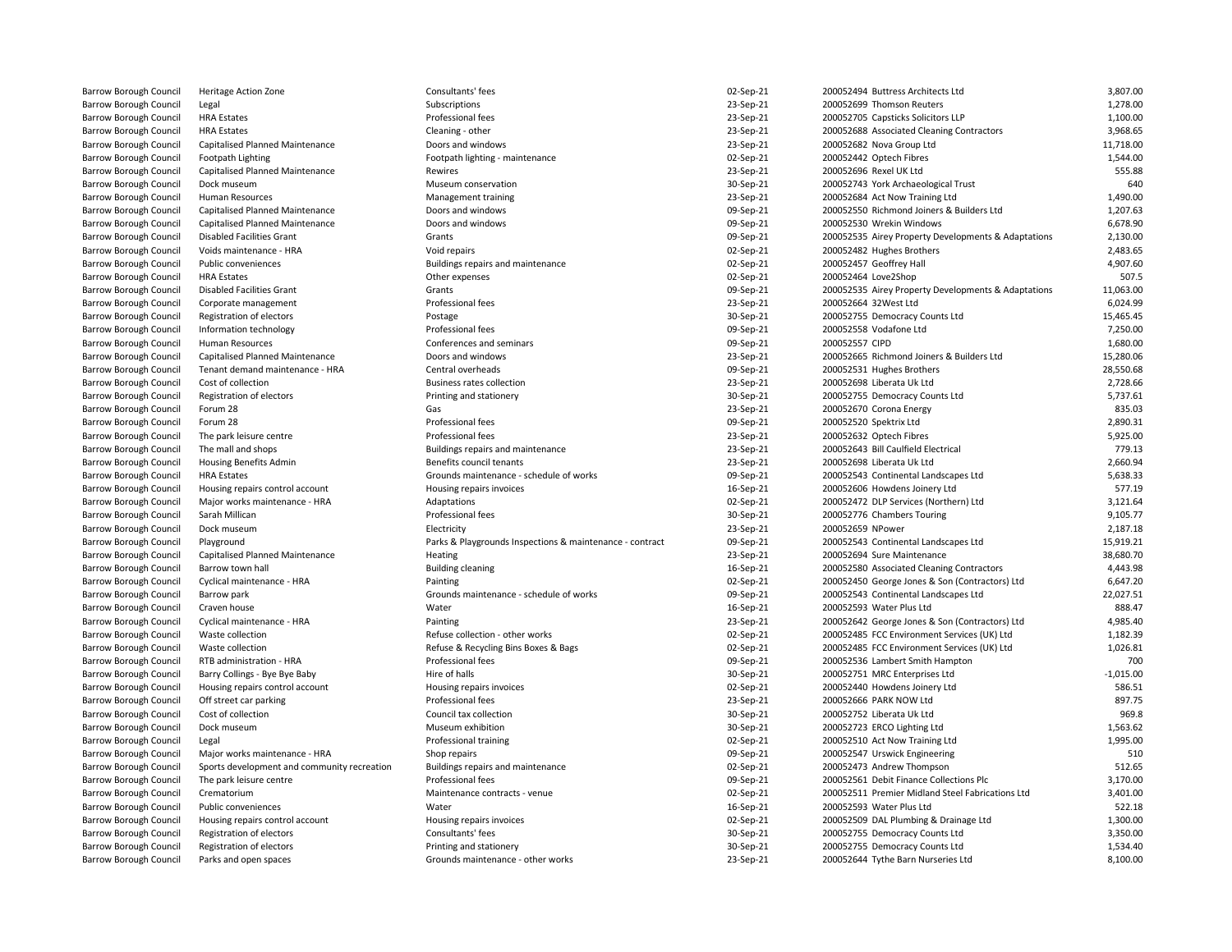| Barrow Borough Council        | Heritage Action Zone                        | Consultants' fees                                        | 02-Sep-21 | 200052494 Buttress Architects Ltd                   | 3,807.00    |
|-------------------------------|---------------------------------------------|----------------------------------------------------------|-----------|-----------------------------------------------------|-------------|
| <b>Barrow Borough Council</b> | Legal                                       | Subscriptions                                            | 23-Sep-21 | 200052699 Thomson Reuters                           | 1,278.00    |
| <b>Barrow Borough Council</b> | <b>HRA Estates</b>                          | Professional fees                                        | 23-Sep-21 | 200052705 Capsticks Solicitors LLP                  | 1,100.00    |
| <b>Barrow Borough Council</b> | <b>HRA Estates</b>                          | Cleaning - other                                         | 23-Sep-21 | 200052688 Associated Cleaning Contractors           | 3,968.65    |
| <b>Barrow Borough Council</b> | Capitalised Planned Maintenance             |                                                          | 23-Sep-21 | 200052682 Nova Group Ltd                            | 11,718.00   |
| <b>Barrow Borough Council</b> |                                             | Doors and windows                                        | 02-Sep-21 | 200052442 Optech Fibres                             | 1,544.00    |
|                               | Footpath Lighting                           | Footpath lighting - maintenance                          |           |                                                     |             |
| <b>Barrow Borough Council</b> | Capitalised Planned Maintenance             | Rewires                                                  | 23-Sep-21 | 200052696 Rexel UK Ltd                              | 555.88      |
| Barrow Borough Council        | Dock museum                                 | Museum conservation                                      | 30-Sep-21 | 200052743 York Archaeological Trust                 | 64C         |
| Barrow Borough Council        | Human Resources                             | Management training                                      | 23-Sep-21 | 200052684 Act Now Training Ltd                      | 1.490.00    |
| Barrow Borough Council        | Capitalised Planned Maintenance             | Doors and windows                                        | 09-Sep-21 | 200052550 Richmond Joiners & Builders Ltd           | 1,207.63    |
| Barrow Borough Council        | Capitalised Planned Maintenance             | Doors and windows                                        | 09-Sep-21 | 200052530 Wrekin Windows                            | 6,678.90    |
| <b>Barrow Borough Council</b> | <b>Disabled Facilities Grant</b>            | Grants                                                   | 09-Sep-21 | 200052535 Airey Property Developments & Adaptations | 2,130.00    |
| <b>Barrow Borough Council</b> | Voids maintenance - HRA                     | Void repairs                                             | 02-Sep-21 | 200052482 Hughes Brothers                           | 2,483.65    |
| <b>Barrow Borough Council</b> | Public conveniences                         | Buildings repairs and maintenance                        | 02-Sep-21 | 200052457 Geoffrey Hall                             | 4,907.60    |
| <b>Barrow Borough Council</b> | <b>HRA Estates</b>                          | Other expenses                                           | 02-Sep-21 | 200052464 Love2Shop                                 | 507.5       |
| Barrow Borough Council        | <b>Disabled Facilities Grant</b>            | Grants                                                   | 09-Sep-21 | 200052535 Airey Property Developments & Adaptations | 11,063.00   |
| <b>Barrow Borough Council</b> | Corporate management                        | Professional fees                                        | 23-Sep-21 | 200052664 32West Ltd                                | 6,024.99    |
| <b>Barrow Borough Council</b> | Registration of electors                    | Postage                                                  | 30-Sep-21 | 200052755 Democracy Counts Ltd                      | 15,465.45   |
| <b>Barrow Borough Council</b> | Information technology                      | Professional fees                                        | 09-Sep-21 | 200052558 Vodafone Ltd                              | 7,250.00    |
| <b>Barrow Borough Council</b> | Human Resources                             | Conferences and seminars                                 | 09-Sep-21 | 200052557 CIPD                                      | 1.680.00    |
| <b>Barrow Borough Council</b> | Capitalised Planned Maintenance             | Doors and windows                                        | 23-Sep-21 | 200052665 Richmond Joiners & Builders Ltd           | 15,280.06   |
| Barrow Borough Council        | Tenant demand maintenance - HRA             | Central overheads                                        | 09-Sep-21 | 200052531 Hughes Brothers                           | 28,550.68   |
| <b>Barrow Borough Council</b> | Cost of collection                          | <b>Business rates collection</b>                         | 23-Sep-21 | 200052698 Liberata Uk Ltd                           | 2,728.66    |
| Barrow Borough Council        | Registration of electors                    | Printing and stationery                                  | 30-Sep-21 | 200052755 Democracy Counts Ltd                      | 5,737.61    |
| <b>Barrow Borough Council</b> | Forum 28                                    | Gas                                                      | 23-Sep-21 | 200052670 Corona Energy                             | 835.03      |
| <b>Barrow Borough Council</b> | Forum 28                                    | Professional fees                                        | 09-Sep-21 | 200052520 Spektrix Ltd                              | 2,890.31    |
| Barrow Borough Council        | The park leisure centre                     | Professional fees                                        | 23-Sep-21 | 200052632 Optech Fibres                             | 5,925.00    |
| <b>Barrow Borough Council</b> | The mall and shops                          | Buildings repairs and maintenance                        | 23-Sep-21 |                                                     | 779.13      |
|                               |                                             |                                                          |           | 200052643 Bill Caulfield Electrical                 |             |
| <b>Barrow Borough Council</b> | Housing Benefits Admin                      | Benefits council tenants                                 | 23-Sep-21 | 200052698 Liberata Uk Ltd                           | 2,660.94    |
| <b>Barrow Borough Council</b> | <b>HRA Estates</b>                          | Grounds maintenance - schedule of works                  | 09-Sep-21 | 200052543 Continental Landscapes Ltd                | 5,638.33    |
| <b>Barrow Borough Council</b> | Housing repairs control account             | Housing repairs invoices                                 | 16-Sep-21 | 200052606 Howdens Joinery Ltd                       | 577.19      |
| Barrow Borough Council        | Major works maintenance - HRA               | Adaptations                                              | 02-Sep-21 | 200052472 DLP Services (Northern) Ltd               | 3,121.64    |
| Barrow Borough Council        | Sarah Millican                              | Professional fees                                        | 30-Sep-21 | 200052776 Chambers Touring                          | 9,105.77    |
| <b>Barrow Borough Council</b> | Dock museum                                 | Electricity                                              | 23-Sep-21 | 200052659 NPower                                    | 2,187.18    |
| Barrow Borough Council        | Playground                                  | Parks & Playgrounds Inspections & maintenance - contract | 09-Sep-21 | 200052543 Continental Landscapes Ltd                | 15,919.21   |
| <b>Barrow Borough Council</b> | Capitalised Planned Maintenance             | Heating                                                  | 23-Sep-21 | 200052694 Sure Maintenance                          | 38,680.70   |
| <b>Barrow Borough Council</b> | Barrow town hall                            | <b>Building cleaning</b>                                 | 16-Sep-21 | 200052580 Associated Cleaning Contractors           | 4,443.98    |
| Barrow Borough Council        | Cyclical maintenance - HRA                  | Painting                                                 | 02-Sep-21 | 200052450 George Jones & Son (Contractors) Ltd      | 6,647.20    |
| <b>Barrow Borough Council</b> | Barrow park                                 | Grounds maintenance - schedule of works                  | 09-Sep-21 | 200052543 Continental Landscapes Ltd                | 22,027.51   |
| Barrow Borough Council        | Craven house                                | Water                                                    | 16-Sep-21 | 200052593 Water Plus Ltd                            | 888.47      |
| <b>Barrow Borough Council</b> | Cyclical maintenance - HRA                  | Painting                                                 | 23-Sep-21 | 200052642 George Jones & Son (Contractors) Ltd      | 4.985.40    |
| <b>Barrow Borough Council</b> | Waste collection                            | Refuse collection - other works                          | 02-Sep-21 | 200052485 FCC Environment Services (UK) Ltd         | 1,182.39    |
| Barrow Borough Council        | Waste collection                            | Refuse & Recycling Bins Boxes & Bags                     | 02-Sep-21 | 200052485 FCC Environment Services (UK) Ltd         | 1,026.81    |
| Barrow Borough Council        | RTB administration - HRA                    | Professional fees                                        | 09-Sep-21 | 200052536 Lambert Smith Hampton                     | <b>700</b>  |
| Barrow Borough Council        | Barry Collings - Bye Bye Baby               | Hire of halls                                            | 30-Sep-21 | 200052751 MRC Enterprises Ltd                       | $-1,015.00$ |
| Barrow Borough Council        | Housing repairs control account             | Housing repairs invoices                                 | 02-Sep-21 | 200052440 Howdens Joinery Ltd                       | 586.51      |
| <b>Barrow Borough Council</b> | Off street car parking                      | Professional fees                                        | 23-Sep-21 | 200052666 PARK NOW Ltd                              | 897.75      |
| Barrow Borough Council        | Cost of collection                          | Council tax collection                                   | 30-Sep-21 | 200052752 Liberata Uk Ltd                           | 969.8       |
| Barrow Borough Council        | Dock museum                                 | Museum exhibition                                        | 30-Sep-21 | 200052723 ERCO Lighting Ltd                         | 1,563.62    |
| <b>Barrow Borough Council</b> | Legal                                       | Professional training                                    | 02-Sep-21 | 200052510 Act Now Training Ltd                      | 1,995.00    |
| Barrow Borough Council        | Major works maintenance - HRA               | Shop repairs                                             | 09-Sep-21 | 200052547 Urswick Engineering                       | 510         |
| <b>Barrow Borough Council</b> | Sports development and community recreation | Buildings repairs and maintenance                        | 02-Sep-21 | 200052473 Andrew Thompson                           | 512.65      |
| <b>Barrow Borough Council</b> | The park leisure centre                     | Professional fees                                        | 09-Sep-21 | 200052561 Debit Finance Collections Plc             | 3,170.00    |
| <b>Barrow Borough Council</b> | Crematorium                                 | Maintenance contracts - venue                            | 02-Sep-21 | 200052511 Premier Midland Steel Fabrications Ltd    | 3,401.00    |
|                               |                                             |                                                          |           |                                                     |             |
| <b>Barrow Borough Council</b> | Public conveniences                         | Water                                                    | 16-Sep-21 | 200052593 Water Plus Ltd                            | 522.18      |
| Barrow Borough Council        | Housing repairs control account             | Housing repairs invoices                                 | 02-Sep-21 | 200052509 DAL Plumbing & Drainage Ltd               | 1,300.00    |
| <b>Barrow Borough Council</b> | Registration of electors                    | Consultants' fees                                        | 30-Sep-21 | 200052755 Democracy Counts Ltd                      | 3,350.00    |
| <b>Barrow Borough Council</b> | Registration of electors                    | Printing and stationery                                  | 30-Sep-21 | 200052755 Democracy Counts Ltd                      | 1,534.40    |
| <b>Barrow Borough Council</b> | Parks and open spaces                       | Grounds maintenance - other works                        | 23-Sep-21 | 200052644 Tythe Barn Nurseries Ltd                  | 8,100.00    |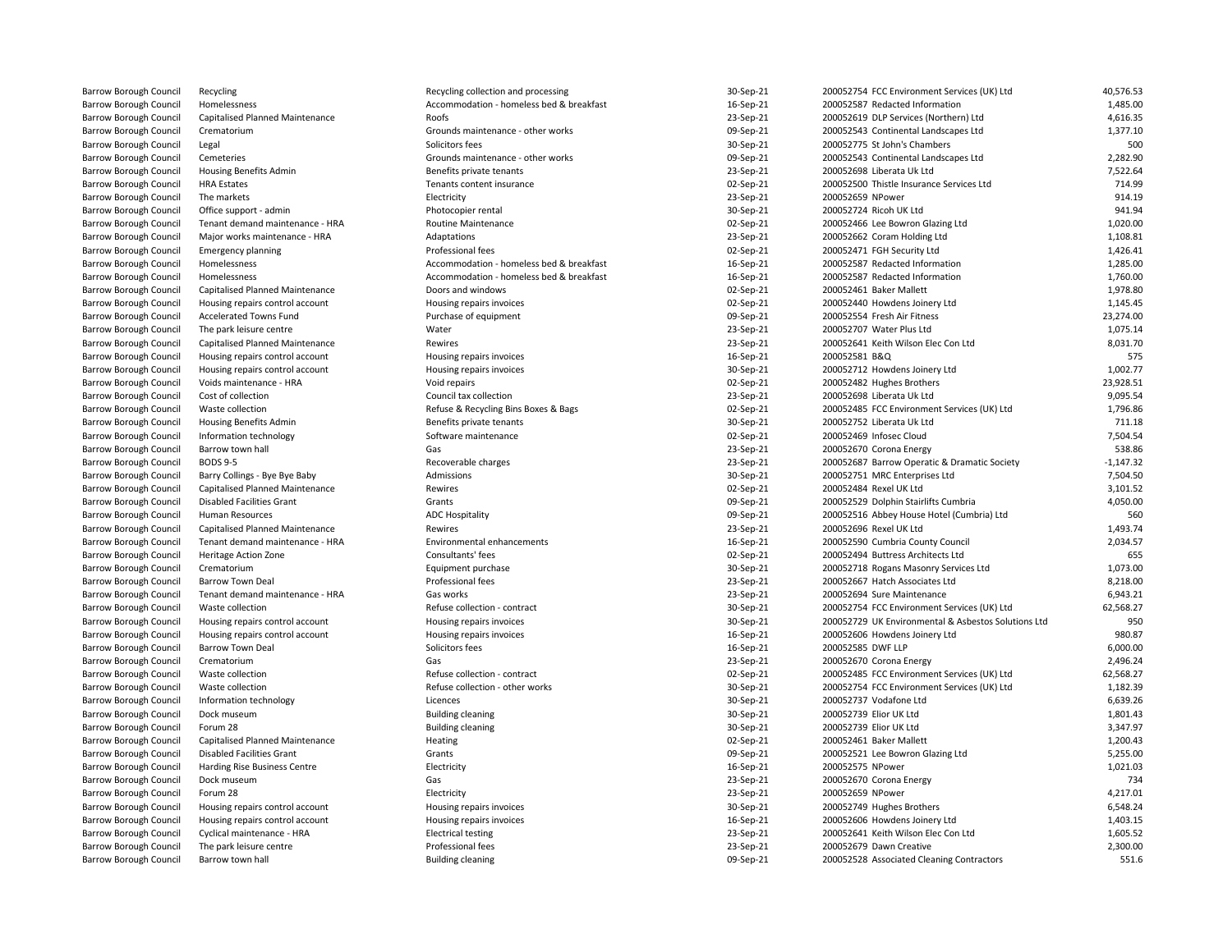| Barrow Borough Council        | Recycling                        | Recycling collection and processing      | 30-Sep-21 | 200052754 FCC Environment Services (UK) Ltd         | 40,576.53   |
|-------------------------------|----------------------------------|------------------------------------------|-----------|-----------------------------------------------------|-------------|
| <b>Barrow Borough Council</b> | Homelessness                     | Accommodation - homeless bed & breakfast | 16-Sep-21 | 200052587 Redacted Information                      | 1,485.00    |
| <b>Barrow Borough Council</b> | Capitalised Planned Maintenance  | Roofs                                    | 23-Sep-21 | 200052619 DLP Services (Northern) Ltd               | 4,616.35    |
| Barrow Borough Council        | Crematorium                      | Grounds maintenance - other works        | 09-Sep-21 | 200052543 Continental Landscapes Ltd                | 1,377.10    |
| <b>Barrow Borough Council</b> | Legal                            | Solicitors fees                          | 30-Sep-21 | 200052775 St John's Chambers                        | <b>500</b>  |
| <b>Barrow Borough Council</b> | Cemeteries                       | Grounds maintenance - other works        | 09-Sep-21 | 200052543 Continental Landscapes Ltd                | 2,282.90    |
| Barrow Borough Council        | Housing Benefits Admin           | Benefits private tenants                 | 23-Sep-21 | 200052698 Liberata Uk Ltd                           | 7,522.64    |
| <b>Barrow Borough Council</b> | <b>HRA Estates</b>               | Tenants content insurance                | 02-Sep-21 | 200052500 Thistle Insurance Services Ltd            | 714.99      |
| <b>Barrow Borough Council</b> | The markets                      | Electricity                              | 23-Sep-21 | 200052659 NPower                                    | 914.19      |
| Barrow Borough Council        | Office support - admin           | Photocopier rental                       | 30-Sep-21 | 200052724 Ricoh UK Ltd                              | 941.94      |
| <b>Barrow Borough Council</b> | Tenant demand maintenance - HRA  | <b>Routine Maintenance</b>               | 02-Sep-21 | 200052466 Lee Bowron Glazing Ltd                    | 1,020.00    |
| <b>Barrow Borough Council</b> | Major works maintenance - HRA    | Adaptations                              | 23-Sep-21 | 200052662 Coram Holding Ltd                         | 1,108.81    |
| Barrow Borough Council        | <b>Emergency planning</b>        | Professional fees                        | 02-Sep-21 | 200052471 FGH Security Ltd                          | 1,426.41    |
| <b>Barrow Borough Council</b> | Homelessness                     | Accommodation - homeless bed & breakfast | 16-Sep-21 | 200052587 Redacted Information                      | 1,285.00    |
| <b>Barrow Borough Council</b> | Homelessness                     | Accommodation - homeless bed & breakfast |           | 200052587 Redacted Information                      | 1,760.00    |
|                               |                                  |                                          | 16-Sep-21 |                                                     |             |
| Barrow Borough Council        | Capitalised Planned Maintenance  | Doors and windows                        | 02-Sep-21 | 200052461 Baker Mallett                             | 1,978.80    |
| <b>Barrow Borough Council</b> | Housing repairs control account  | Housing repairs invoices                 | 02-Sep-21 | 200052440 Howdens Joinery Ltd                       | 1,145.45    |
| <b>Barrow Borough Council</b> | Accelerated Towns Fund           | Purchase of equipment                    | 09-Sep-21 | 200052554 Fresh Air Fitness                         | 23,274.00   |
| Barrow Borough Council        | The park leisure centre          | Water                                    | 23-Sep-21 | 200052707 Water Plus Ltd                            | 1,075.14    |
| Barrow Borough Council        | Capitalised Planned Maintenance  | Rewires                                  | 23-Sep-21 | 200052641 Keith Wilson Elec Con Ltd                 | 8,031.70    |
| <b>Barrow Borough Council</b> | Housing repairs control account  | Housing repairs invoices                 | 16-Sep-21 | 200052581 B&Q                                       | 575         |
| Barrow Borough Council        | Housing repairs control account  | Housing repairs invoices                 | 30-Sep-21 | 200052712 Howdens Joinery Ltd                       | 1,002.77    |
| <b>Barrow Borough Council</b> | Voids maintenance - HRA          | Void repairs                             | 02-Sep-21 | 200052482 Hughes Brothers                           | 23,928.51   |
| <b>Barrow Borough Council</b> | Cost of collection               | Council tax collection                   | 23-Sep-21 | 200052698 Liberata Uk Ltd                           | 9,095.54    |
| Barrow Borough Council        | Waste collection                 | Refuse & Recycling Bins Boxes & Bags     | 02-Sep-21 | 200052485 FCC Environment Services (UK) Ltd         | 1,796.86    |
| <b>Barrow Borough Council</b> | <b>Housing Benefits Admin</b>    | Benefits private tenants                 | 30-Sep-21 | 200052752 Liberata Uk Ltd                           | 711.18      |
| <b>Barrow Borough Council</b> | Information technology           | Software maintenance                     | 02-Sep-21 | 200052469 Infosec Cloud                             | 7.504.54    |
| Barrow Borough Council        | Barrow town hall                 | Gas                                      | 23-Sep-21 | 200052670 Corona Energy                             | 538.86      |
| <b>Barrow Borough Council</b> | <b>BODS 9-5</b>                  | Recoverable charges                      | 23-Sep-21 | 200052687 Barrow Operatic & Dramatic Society        | $-1,147.32$ |
| <b>Barrow Borough Council</b> | Barry Collings - Bye Bye Baby    | Admissions                               | 30-Sep-21 | 200052751 MRC Enterprises Ltd                       | 7,504.50    |
| <b>Barrow Borough Council</b> | Capitalised Planned Maintenance  | Rewires                                  | 02-Sep-21 | 200052484 Rexel UK Ltd                              | 3,101.52    |
| <b>Barrow Borough Council</b> | <b>Disabled Facilities Grant</b> | Grants                                   | 09-Sep-21 | 200052529 Dolphin Stairlifts Cumbria                | 4,050.00    |
| <b>Barrow Borough Council</b> | Human Resources                  | <b>ADC Hospitality</b>                   | 09-Sep-21 | 200052516 Abbey House Hotel (Cumbria) Ltd           | 560         |
| Barrow Borough Council        | Capitalised Planned Maintenance  | Rewires                                  | 23-Sep-21 | 200052696 Rexel UK Ltd                              | 1,493.74    |
| Barrow Borough Council        | Tenant demand maintenance - HRA  | Environmental enhancements               | 16-Sep-21 | 200052590 Cumbria County Council                    | 2,034.57    |
| <b>Barrow Borough Council</b> | Heritage Action Zone             | Consultants' fees                        | 02-Sep-21 | 200052494 Buttress Architects Ltd                   | 655         |
| Barrow Borough Council        | Crematorium                      | Equipment purchase                       | 30-Sep-21 | 200052718 Rogans Masonry Services Ltd               | 1,073.00    |
| Barrow Borough Council        | <b>Barrow Town Deal</b>          | Professional fees                        | 23-Sep-21 | 200052667 Hatch Associates Ltd                      | 8,218.00    |
| <b>Barrow Borough Council</b> | Tenant demand maintenance - HRA  | Gas works                                | 23-Sep-21 | 200052694 Sure Maintenance                          | 6,943.21    |
| <b>Barrow Borough Council</b> | Waste collection                 | Refuse collection - contract             | 30-Sep-21 | 200052754 FCC Environment Services (UK) Ltd         | 62,568.27   |
| <b>Barrow Borough Council</b> | Housing repairs control account  | Housing repairs invoices                 | 30-Sep-21 | 200052729 UK Environmental & Asbestos Solutions Ltd | 95C         |
| Barrow Borough Council        | Housing repairs control account  | Housing repairs invoices                 | 16-Sep-21 | 200052606 Howdens Joinery Ltd                       | 980.87      |
| <b>Barrow Borough Council</b> | <b>Barrow Town Deal</b>          | Solicitors fees                          | 16-Sep-21 | 200052585 DWF LLP                                   | 6,000.00    |
|                               |                                  |                                          |           |                                                     | 2,496.24    |
| Barrow Borough Council        | Crematorium                      | Gas                                      | 23-Sep-21 | 200052670 Corona Energy                             |             |
| <b>Barrow Borough Council</b> | Waste collection                 | Refuse collection - contract             | 02-Sep-21 | 200052485 FCC Environment Services (UK) Ltd         | 62,568.27   |
| <b>Barrow Borough Council</b> | Waste collection                 | Refuse collection - other works          | 30-Sep-21 | 200052754 FCC Environment Services (UK) Ltd         | 1,182.39    |
| <b>Barrow Borough Council</b> | Information technology           | Licences                                 | 30-Sep-21 | 200052737 Vodafone Ltd                              | 6,639.26    |
| <b>Barrow Borough Council</b> | Dock museum                      | <b>Building cleaning</b>                 | 30-Sep-21 | 200052739 Elior UK Ltd                              | 1,801.43    |
| <b>Barrow Borough Council</b> | Forum 28                         | <b>Building cleaning</b>                 | 30-Sep-21 | 200052739 Elior UK Ltd                              | 3,347.97    |
| <b>Barrow Borough Council</b> | Capitalised Planned Maintenance  | Heating                                  | 02-Sep-21 | 200052461 Baker Mallett                             | 1,200.43    |
| <b>Barrow Borough Council</b> | <b>Disabled Facilities Grant</b> | Grants                                   | 09-Sep-21 | 200052521 Lee Bowron Glazing Ltd                    | 5,255.00    |
| <b>Barrow Borough Council</b> | Harding Rise Business Centre     | Electricity                              | 16-Sep-21 | 200052575 NPower                                    | 1,021.03    |
| Barrow Borough Council        | Dock museum                      | Gas                                      | 23-Sep-21 | 200052670 Corona Energy                             | 734         |
| <b>Barrow Borough Council</b> | Forum 28                         | Electricity                              | 23-Sep-21 | 200052659 NPower                                    | 4.217.01    |
| <b>Barrow Borough Council</b> | Housing repairs control account  | Housing repairs invoices                 | 30-Sep-21 | 200052749 Hughes Brothers                           | 6,548.24    |
| Barrow Borough Council        | Housing repairs control account  | Housing repairs invoices                 | 16-Sep-21 | 200052606 Howdens Joinery Ltd                       | 1,403.15    |
| <b>Barrow Borough Council</b> | Cyclical maintenance - HRA       | <b>Electrical testing</b>                | 23-Sep-21 | 200052641 Keith Wilson Elec Con Ltd                 | 1,605.52    |
| <b>Barrow Borough Council</b> | The park leisure centre          | Professional fees                        | 23-Sep-21 | 200052679 Dawn Creative                             | 2,300.00    |
| <b>Barrow Borough Council</b> | Barrow town hall                 | <b>Building cleaning</b>                 | 09-Sep-21 | 200052528 Associated Cleaning Contractors           | 551.6       |
|                               |                                  |                                          |           |                                                     |             |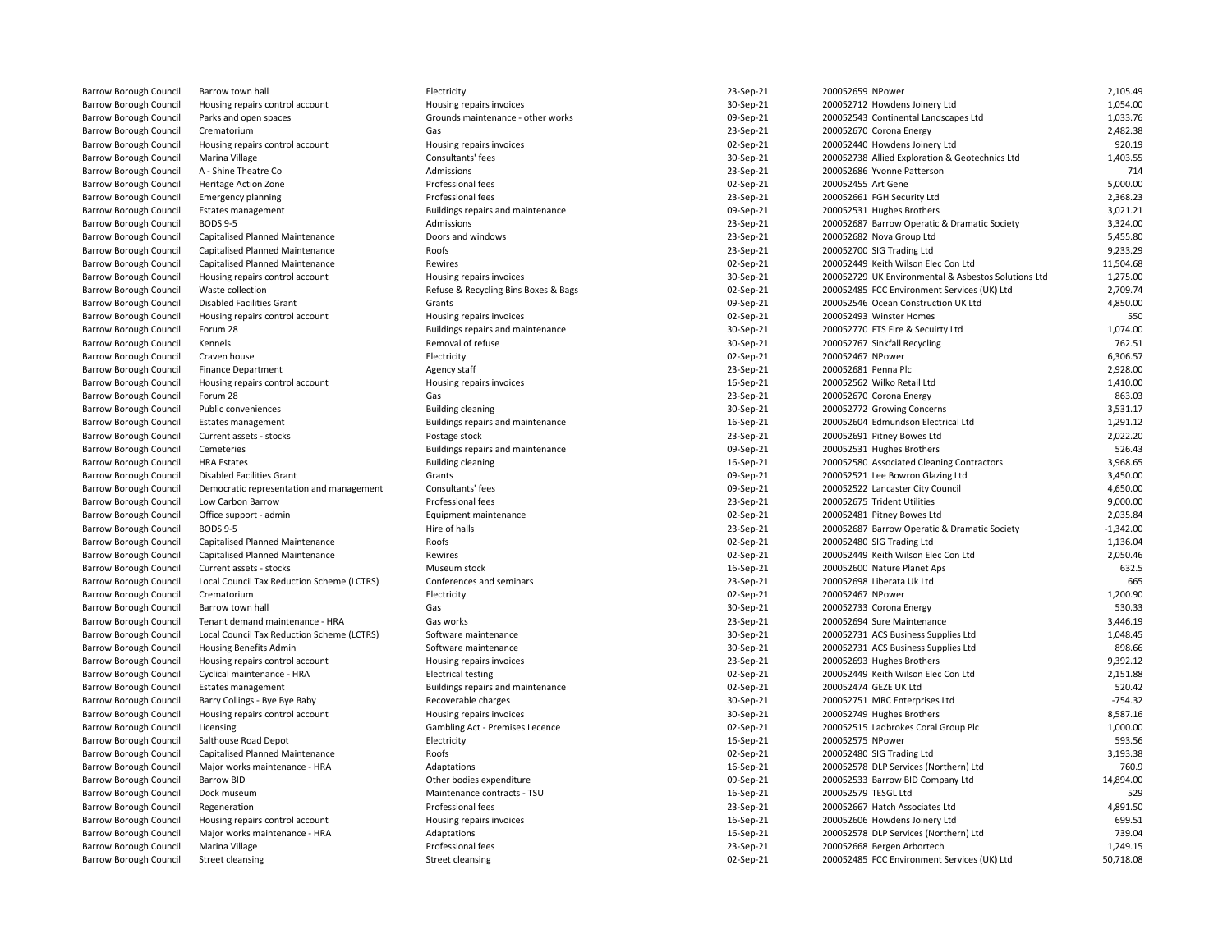| Barrow Borough Council        | Barrow town hall                           | Electricity                          | 23-Sep-21 | 200052659 NPower                                    | 2,105.49                |
|-------------------------------|--------------------------------------------|--------------------------------------|-----------|-----------------------------------------------------|-------------------------|
| Barrow Borough Council        | Housing repairs control account            | Housing repairs invoices             | 30-Sep-21 | 200052712 Howdens Joinery Ltd                       | 1,054.00                |
| <b>Barrow Borough Council</b> | Parks and open spaces                      | Grounds maintenance - other works    | 09-Sep-21 | 200052543 Continental Landscapes Ltd                | 1,033.76                |
| Barrow Borough Council        | Crematorium                                | Gas                                  | 23-Sep-21 | 200052670 Corona Energy                             | 2,482.38                |
| Barrow Borough Council        | Housing repairs control account            | Housing repairs invoices             | 02-Sep-21 | 200052440 Howdens Joinery Ltd                       | 920.19                  |
| Barrow Borough Council        | Marina Village                             | Consultants' fees                    | 30-Sep-21 | 200052738 Allied Exploration & Geotechnics Ltd      | 1,403.55                |
| Barrow Borough Council        | A - Shine Theatre Co                       | Admissions                           | 23-Sep-21 | 200052686 Yvonne Patterson                          | 714                     |
|                               |                                            |                                      |           |                                                     |                         |
| Barrow Borough Council        | Heritage Action Zone                       | Professional fees                    | 02-Sep-21 | 200052455 Art Gene                                  | 5,000.00                |
| Barrow Borough Council        | <b>Emergency planning</b>                  | Professional fees                    | 23-Sep-21 | 200052661 FGH Security Ltd                          | 2,368.23                |
| Barrow Borough Council        | Estates management                         | Buildings repairs and maintenance    | 09-Sep-21 | 200052531 Hughes Brothers                           | 3,021.21                |
| Barrow Borough Council        | <b>BODS 9-5</b>                            | Admissions                           | 23-Sep-21 | 200052687 Barrow Operatic & Dramatic Society        | 3,324.00                |
| Barrow Borough Council        | Capitalised Planned Maintenance            | Doors and windows                    | 23-Sep-21 | 200052682 Nova Group Ltd                            | 5,455.80                |
| <b>Barrow Borough Council</b> | Capitalised Planned Maintenance            | Roofs                                | 23-Sep-21 | 200052700 SIG Trading Ltd                           | 9,233.29                |
| <b>Barrow Borough Council</b> | Capitalised Planned Maintenance            | Rewires                              | 02-Sep-21 | 200052449 Keith Wilson Elec Con Ltd                 | 11,504.68               |
| Barrow Borough Council        | Housing repairs control account            | Housing repairs invoices             | 30-Sep-21 | 200052729 UK Environmental & Asbestos Solutions Ltd | 1,275.00                |
| <b>Barrow Borough Council</b> | Waste collection                           | Refuse & Recycling Bins Boxes & Bags | 02-Sep-21 | 200052485 FCC Environment Services (UK) Ltd         | 2,709.74                |
| Barrow Borough Council        | <b>Disabled Facilities Grant</b>           | Grants                               | 09-Sep-21 | 200052546 Ocean Construction UK Ltd                 | 4,850.00                |
| Barrow Borough Council        | Housing repairs control account            | Housing repairs invoices             | 02-Sep-21 | 200052493 Winster Homes                             | 550                     |
| Barrow Borough Council        | Forum 28                                   | Buildings repairs and maintenance    | 30-Sep-21 | 200052770 FTS Fire & Secuirty Ltd                   | 1.074.00                |
| Barrow Borough Council        | Kennels                                    | Removal of refuse                    | 30-Sep-21 | 200052767 Sinkfall Recycling                        | 762.51                  |
| Barrow Borough Council        | Craven house                               | Electricity                          | 02-Sep-21 | 200052467 NPower                                    | 6,306.57                |
| Barrow Borough Council        | <b>Finance Department</b>                  | Agency staff                         | 23-Sep-21 | 200052681 Penna Plc                                 | 2,928.00                |
| Barrow Borough Council        | Housing repairs control account            | Housing repairs invoices             | 16-Sep-21 | 200052562 Wilko Retail Ltd                          | 1,410.00                |
| Barrow Borough Council        | Forum 28                                   | Gas                                  | 23-Sep-21 | 200052670 Corona Energy                             | 863.03                  |
| Barrow Borough Council        | Public conveniences                        | <b>Building cleaning</b>             | 30-Sep-21 | 200052772 Growing Concerns                          | 3,531.17                |
| Barrow Borough Council        | <b>Estates management</b>                  | Buildings repairs and maintenance    | 16-Sep-21 | 200052604 Edmundson Electrical Ltd                  | 1,291.12                |
| Barrow Borough Council        | Current assets - stocks                    | Postage stock                        | 23-Sep-21 | 200052691 Pitney Bowes Ltd                          | 2,022.20                |
| <b>Barrow Borough Council</b> | Cemeteries                                 | Buildings repairs and maintenance    | 09-Sep-21 | 200052531 Hughes Brothers                           | 526.43                  |
| Barrow Borough Council        | <b>HRA Estates</b>                         | <b>Building cleaning</b>             | 16-Sep-21 | 200052580 Associated Cleaning Contractors           | 3,968.65                |
| <b>Barrow Borough Council</b> | <b>Disabled Facilities Grant</b>           | Grants                               | 09-Sep-21 | 200052521 Lee Bowron Glazing Ltd                    | 3,450.00                |
| Barrow Borough Council        | Democratic representation and management   | Consultants' fees                    | 09-Sep-21 | 200052522 Lancaster City Council                    | 4,650.00                |
| Barrow Borough Council        | Low Carbon Barrow                          | Professional fees                    | 23-Sep-21 | 200052675 Trident Utilities                         | 9,000.00                |
| Barrow Borough Council        | Office support - admin                     | Equipment maintenance                | 02-Sep-21 | 200052481 Pitney Bowes Ltd                          | 2,035.84                |
|                               | <b>BODS 9-5</b>                            | Hire of halls                        |           |                                                     |                         |
| Barrow Borough Council        |                                            | Roofs                                | 23-Sep-21 | 200052687 Barrow Operatic & Dramatic Society        | $-1,342.00$<br>1,136.04 |
| Barrow Borough Council        | Capitalised Planned Maintenance            |                                      | 02-Sep-21 | 200052480 SIG Trading Ltd                           |                         |
| Barrow Borough Council        | Capitalised Planned Maintenance            | Rewires                              | 02-Sep-21 | 200052449 Keith Wilson Elec Con Ltd                 | 2,050.46                |
| Barrow Borough Council        | Current assets - stocks                    | Museum stock                         | 16-Sep-21 | 200052600 Nature Planet Aps                         | 632.5                   |
| Barrow Borough Council        | Local Council Tax Reduction Scheme (LCTRS) | Conferences and seminars             | 23-Sep-21 | 200052698 Liberata Uk Ltd                           | 665                     |
| Barrow Borough Council        | Crematorium                                | Electricity                          | 02-Sep-21 | 200052467 NPower                                    | 1,200.90                |
| Barrow Borough Council        | Barrow town hall                           | Gas                                  | 30-Sep-21 | 200052733 Corona Energy                             | 530.33                  |
| <b>Barrow Borough Council</b> | Tenant demand maintenance - HRA            | Gas works                            | 23-Sep-21 | 200052694 Sure Maintenance                          | 3,446.19                |
| Barrow Borough Council        | Local Council Tax Reduction Scheme (LCTRS) | Software maintenance                 | 30-Sep-21 | 200052731 ACS Business Supplies Ltd                 | 1,048.45                |
| Barrow Borough Council        | Housing Benefits Admin                     | Software maintenance                 | 30-Sep-21 | 200052731 ACS Business Supplies Ltd                 | 898.66                  |
| <b>Barrow Borough Council</b> | Housing repairs control account            | Housing repairs invoices             | 23-Sep-21 | 200052693 Hughes Brothers                           | 9.392.12                |
| Barrow Borough Council        | Cyclical maintenance - HRA                 | <b>Electrical testing</b>            | 02-Sep-21 | 200052449 Keith Wilson Elec Con Ltd                 | 2,151.88                |
| Barrow Borough Council        | <b>Estates management</b>                  | Buildings repairs and maintenance    | 02-Sep-21 | 200052474 GEZE UK Ltd                               | 520.42                  |
| Barrow Borough Council        | Barry Collings - Bye Bye Baby              | Recoverable charges                  | 30-Sep-21 | 200052751 MRC Enterprises Ltd                       | $-754.32$               |
| Barrow Borough Council        | Housing repairs control account            | Housing repairs invoices             | 30-Sep-21 | 200052749 Hughes Brothers                           | 8,587.16                |
| Barrow Borough Council        | Licensing                                  | Gambling Act - Premises Lecence      | 02-Sep-21 | 200052515 Ladbrokes Coral Group Plc                 | 1,000.00                |
| Barrow Borough Council        | Salthouse Road Depot                       | Electricity                          | 16-Sep-21 | 200052575 NPower                                    | 593.56                  |
| <b>Barrow Borough Council</b> | Capitalised Planned Maintenance            | Roofs                                | 02-Sep-21 | 200052480 SIG Trading Ltd                           | 3,193.38                |
| Barrow Borough Council        | Major works maintenance - HRA              | Adaptations                          | 16-Sep-21 | 200052578 DLP Services (Northern) Ltd               | 760.9                   |
| Barrow Borough Council        | <b>Barrow BID</b>                          | Other bodies expenditure             | 09-Sep-21 | 200052533 Barrow BID Company Ltd                    | 14,894.00               |
| Barrow Borough Council        | Dock museum                                | Maintenance contracts - TSU          | 16-Sep-21 | 200052579 TESGL Ltd                                 | 529                     |
| <b>Barrow Borough Council</b> | Regeneration                               | Professional fees                    | 23-Sep-21 | 200052667 Hatch Associates Ltd                      | 4,891.50                |
| Barrow Borough Council        | Housing repairs control account            | Housing repairs invoices             | 16-Sep-21 | 200052606 Howdens Joinery Ltd                       | 699.51                  |
| <b>Barrow Borough Council</b> | Major works maintenance - HRA              | Adaptations                          | 16-Sep-21 | 200052578 DLP Services (Northern) Ltd               | 739.04                  |
| Barrow Borough Council        | Marina Village                             | Professional fees                    | 23-Sep-21 | 200052668 Bergen Arbortech                          | 1,249.15                |
| Barrow Borough Council        | <b>Street cleansing</b>                    | <b>Street cleansing</b>              | 02-Sep-21 | 200052485 FCC Environment Services (UK) Ltd         | 50,718.08               |
|                               |                                            |                                      |           |                                                     |                         |